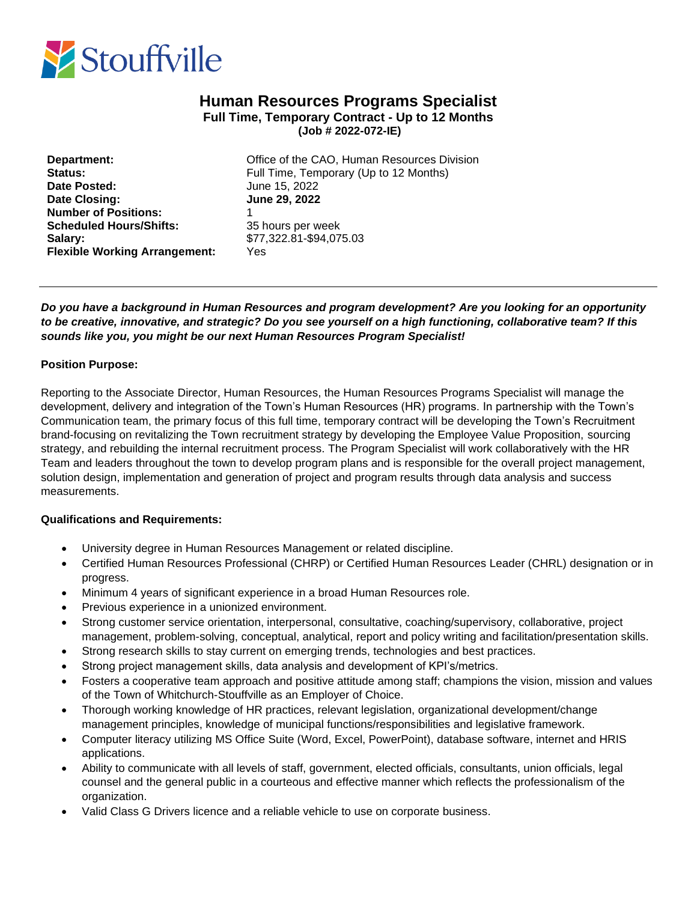

# **Human Resources Programs Specialist Full Time, Temporary Contract - Up to 12 Months (Job # 2022-072-IE)**

| Department:<br>Status:<br>Date Posted: | Offi        |
|----------------------------------------|-------------|
|                                        | Full<br>Jun |
|                                        |             |
| <b>Number of Positions:</b>            |             |
| <b>Scheduled Hours/Shifts:</b>         | 35 h        |
| Salary:                                | \$77        |
| <b>Flexible Working Arrangement:</b>   | Yes         |
|                                        |             |

**Office of the CAO, Human Resources Division** Full Time, Temporary (Up to 12 Months) **Date Posted:** June 15, 2022 **Date Closing: June 29, 2022 Scheduled Hours/Shifts:** 35 hours per week **Salary:** \$77,322.81-\$94,075.03

## *Do you have a background in Human Resources and program development? Are you looking for an opportunity to be creative, innovative, and strategic? Do you see yourself on a high functioning, collaborative team? If this sounds like you, you might be our next Human Resources Program Specialist!*

## **Position Purpose:**

Reporting to the Associate Director, Human Resources, the Human Resources Programs Specialist will manage the development, delivery and integration of the Town's Human Resources (HR) programs. In partnership with the Town's Communication team, the primary focus of this full time, temporary contract will be developing the Town's Recruitment brand-focusing on revitalizing the Town recruitment strategy by developing the Employee Value Proposition, sourcing strategy, and rebuilding the internal recruitment process. The Program Specialist will work collaboratively with the HR Team and leaders throughout the town to develop program plans and is responsible for the overall project management, solution design, implementation and generation of project and program results through data analysis and success measurements.

### **Qualifications and Requirements:**

- University degree in Human Resources Management or related discipline.
- Certified Human Resources Professional (CHRP) or Certified Human Resources Leader (CHRL) designation or in progress.
- Minimum 4 years of significant experience in a broad Human Resources role.
- Previous experience in a unionized environment.
- Strong customer service orientation, interpersonal, consultative, coaching/supervisory, collaborative, project management, problem-solving, conceptual, analytical, report and policy writing and facilitation/presentation skills.
- Strong research skills to stay current on emerging trends, technologies and best practices.
- Strong project management skills, data analysis and development of KPI's/metrics.
- Fosters a cooperative team approach and positive attitude among staff; champions the vision, mission and values of the Town of Whitchurch-Stouffville as an Employer of Choice.
- Thorough working knowledge of HR practices, relevant legislation, organizational development/change management principles, knowledge of municipal functions/responsibilities and legislative framework.
- Computer literacy utilizing MS Office Suite (Word, Excel, PowerPoint), database software, internet and HRIS applications.
- Ability to communicate with all levels of staff, government, elected officials, consultants, union officials, legal counsel and the general public in a courteous and effective manner which reflects the professionalism of the organization.
- Valid Class G Drivers licence and a reliable vehicle to use on corporate business.